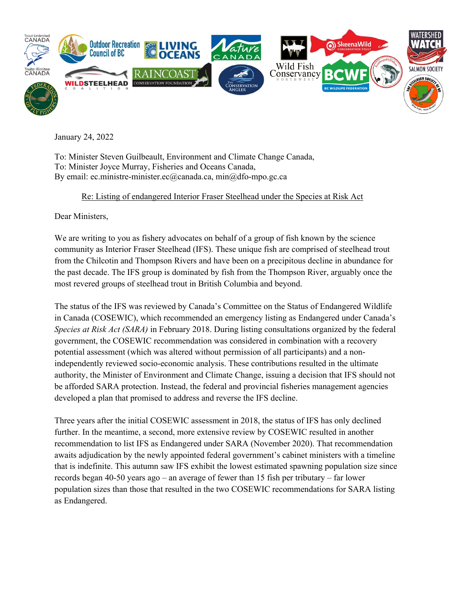

January 24, 2022

To: Minister Steven Guilbeault, Environment and Climate Change Canada, To: Minister Joyce Murray, Fisheries and Oceans Canada, By email: ec.ministre-minister.ec@canada.ca, min@dfo-mpo.gc.ca

## Re: Listing of endangered Interior Fraser Steelhead under the Species at Risk Act

Dear Ministers,

We are writing to you as fishery advocates on behalf of a group of fish known by the science community as Interior Fraser Steelhead (IFS). These unique fish are comprised of steelhead trout from the Chilcotin and Thompson Rivers and have been on a precipitous decline in abundance for the past decade. The IFS group is dominated by fish from the Thompson River, arguably once the most revered groups of steelhead trout in British Columbia and beyond.

The status of the IFS was reviewed by Canada's Committee on the Status of Endangered Wildlife in Canada (COSEWIC), which recommended an emergency listing as Endangered under Canada's *Species at Risk Act (SARA)* in February 2018. During listing consultations organized by the federal government, the COSEWIC recommendation was considered in combination with a recovery potential assessment (which was altered without permission of all participants) and a nonindependently reviewed socio-economic analysis. These contributions resulted in the ultimate authority, the Minister of Environment and Climate Change, issuing a decision that IFS should not be afforded SARA protection. Instead, the federal and provincial fisheries management agencies developed a plan that promised to address and reverse the IFS decline.

Three years after the initial COSEWIC assessment in 2018, the status of IFS has only declined further. In the meantime, a second, more extensive review by COSEWIC resulted in another recommendation to list IFS as Endangered under SARA (November 2020). That recommendation awaits adjudication by the newly appointed federal government's cabinet ministers with a timeline that is indefinite. This autumn saw IFS exhibit the lowest estimated spawning population size since records began 40-50 years ago – an average of fewer than 15 fish per tributary – far lower population sizes than those that resulted in the two COSEWIC recommendations for SARA listing as Endangered.